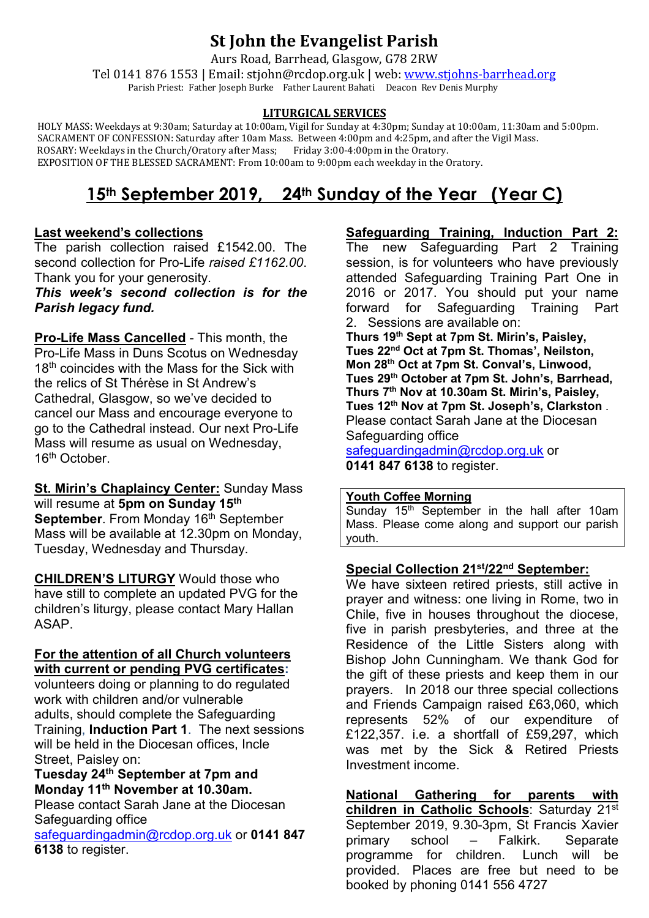# **St John the Evangelist Parish**

Aurs Road, Barrhead, Glasgow, G78 2RW

Tel 0141 876 1553 | Email: stjohn@rcdop.org.uk | web: [www.stjohns-barrhead.org](http://www.stjohns-barrhead.org/) Parish Priest: Father Joseph Burke Father Laurent Bahati Deacon Rev Denis Murphy

#### **LITURGICAL SERVICES**

 HOLY MASS: Weekdays at 9:30am; Saturday at 10:00am, Vigil for Sunday at 4:30pm; Sunday at 10:00am, 11:30am and 5:00pm. SACRAMENT OF CONFESSION: Saturday after 10am Mass. Between 4:00pm and 4:25pm, and after the Vigil Mass. ROSARY: Weekdays in the Church/Oratory after Mass; Friday 3:00-4:00pm in the Oratory. EXPOSITION OF THE BLESSED SACRAMENT: From 10:00am to 9:00pm each weekday in the Oratory.

# **15th September 2019, 24th Sunday of the Year (Year C)**

## **Last weekend's collections**

The parish collection raised £1542.00. The second collection for Pro-Life *raised £1162.00*. Thank you for your generosity.

## *This week's second collection is for the Parish legacy fund.*

**Pro-Life Mass Cancelled** - This month, the Pro-Life Mass in Duns Scotus on Wednesday 18<sup>th</sup> coincides with the Mass for the Sick with the relics of St Thérèse in St Andrew's Cathedral, Glasgow, so we've decided to cancel our Mass and encourage everyone to go to the Cathedral instead. Our next Pro-Life Mass will resume as usual on Wednesday, 16<sup>th</sup> October.

**St. Mirin's Chaplaincy Center:** Sunday Mass will resume at **5pm on Sunday 15th September**. From Monday 16<sup>th</sup> September Mass will be available at 12.30pm on Monday, Tuesday, Wednesday and Thursday.

**CHILDREN'S LITURGY** Would those who have still to complete an updated PVG for the children's liturgy, please contact Mary Hallan ASAP.

#### **For the attention of all Church volunteers with current or pending PVG certificates:**

volunteers doing or planning to do regulated work with children and/or vulnerable adults, should complete the Safeguarding Training, **Induction Part 1**. The next sessions will be held in the Diocesan offices, Incle Street, Paisley on:

## **Tuesday 24th September at 7pm and Monday 11th November at 10.30am.**

Please contact Sarah Jane at the Diocesan Safeguarding office

[safeguardingadmin@rcdop.org.uk](mailto:safeguardingadmin@rcdop.org.uk) or **0141 847 6138** to register.

**Safeguarding Training, Induction Part 2:**

Safeguarding Part 2 Training session, is for volunteers who have previously attended Safeguarding Training Part One in 2016 or 2017. You should put your name<br>forward for Safeguarding Training Part forward for Safeguarding 2. Sessions are available on:

**Thurs 19th Sept at 7pm St. Mirin's, Paisley, Tues 22nd Oct at 7pm St. Thomas', Neilston, Mon 28th Oct at 7pm St. Conval's, Linwood, Tues 29th October at 7pm St. John's, Barrhead, Thurs 7th Nov at 10.30am St. Mirin's, Paisley, Tues 12th Nov at 7pm St. Joseph's, Clarkston** . Please contact Sarah Jane at the Diocesan Safeguarding office

[safeguardingadmin@rcdop.org.uk](mailto:safeguardingadmin@rcdop.org.uk) or **0141 847 6138** to register.

## **Youth Coffee Morning**

Sunday  $15<sup>th</sup>$  September in the hall after 10am Mass. Please come along and support our parish youth.

## **Special Collection 21st/22nd September:**

We have sixteen retired priests, still active in prayer and witness: one living in Rome, two in Chile, five in houses throughout the diocese, five in parish presbyteries, and three at the Residence of the Little Sisters along with Bishop John Cunningham. We thank God for the gift of these priests and keep them in our prayers. In 2018 our three special collections and Friends Campaign raised £63,060, which represents 52% of our expenditure of £122,357. i.e. a shortfall of £59,297, which was met by the Sick & Retired Priests Investment income.

**National Gathering for parents with children in Catholic Schools**: Saturday 21st September 2019, 9.30-3pm, St Francis Xavier primary school – Falkirk. Separate<br>programme for children. Lunch will be programme for children. provided. Places are free but need to be booked by phoning 0141 556 4727